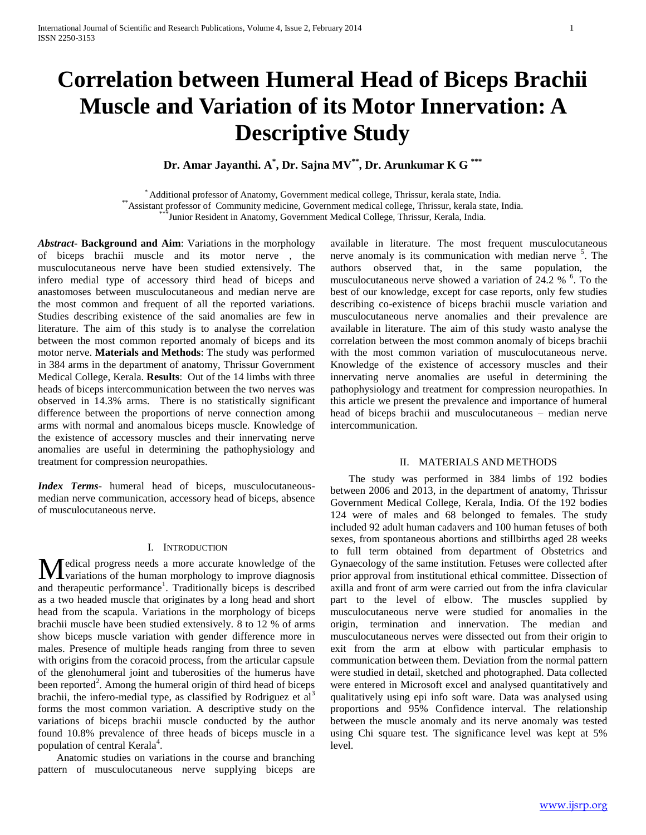# **Correlation between Humeral Head of Biceps Brachii Muscle and Variation of its Motor Innervation: A Descriptive Study**

**Dr. Amar Jayanthi. A\* , Dr. Sajna MV\*\*, Dr. Arunkumar K G \*\*\***

\* Additional professor of Anatomy, Government medical college, Thrissur, kerala state, India. \*\*Assistant professor of Community medicine, Government medical college, Thrissur, kerala state, India. \*\*\*Junior Resident in Anatomy, Government Medical College, Thrissur, Kerala, India.

*Abstract***- Background and Aim**: Variations in the morphology of biceps brachii muscle and its motor nerve , the musculocutaneous nerve have been studied extensively. The infero medial type of accessory third head of biceps and anastomoses between musculocutaneous and median nerve are the most common and frequent of all the reported variations. Studies describing existence of the said anomalies are few in literature. The aim of this study is to analyse the correlation between the most common reported anomaly of biceps and its motor nerve. **Materials and Methods**: The study was performed in 384 arms in the department of anatomy, Thrissur Government Medical College, Kerala. **Results**: Out of the 14 limbs with three heads of biceps intercommunication between the two nerves was observed in 14.3% arms. There is no statistically significant difference between the proportions of nerve connection among arms with normal and anomalous biceps muscle. Knowledge of the existence of accessory muscles and their innervating nerve anomalies are useful in determining the pathophysiology and treatment for compression neuropathies.

*Index Terms*- humeral head of biceps, musculocutaneousmedian nerve communication, accessory head of biceps, absence of musculocutaneous nerve.

#### I. INTRODUCTION

edical progress needs a more accurate knowledge of the Medical progress needs a more accurate knowledge of the variations of the human morphology to improve diagnosis and therapeutic performance<sup>1</sup>. Traditionally biceps is described as a two headed muscle that originates by a long head and short head from the scapula. Variations in the morphology of biceps brachii muscle have been studied extensively. 8 to 12 % of arms show biceps muscle variation with gender difference more in males. Presence of multiple heads ranging from three to seven with origins from the coracoid process, from the articular capsule of the glenohumeral joint and tuberosities of the humerus have been reported<sup>2</sup>. Among the humeral origin of third head of biceps brachii, the infero-medial type, as classified by Rodriguez et  $al<sup>3</sup>$ forms the most common variation. A descriptive study on the variations of biceps brachii muscle conducted by the author found 10.8% prevalence of three heads of biceps muscle in a population of central Kerala<sup>4</sup>.

 Anatomic studies on variations in the course and branching pattern of musculocutaneous nerve supplying biceps are available in literature. The most frequent musculocutaneous nerve anomaly is its communication with median nerve <sup>5</sup>. The authors observed that, in the same population, the musculocutaneous nerve showed a variation of  $24.2 \%$ <sup>6</sup>. To the best of our knowledge, except for case reports, only few studies describing co-existence of biceps brachii muscle variation and musculocutaneous nerve anomalies and their prevalence are available in literature. The aim of this study wasto analyse the correlation between the most common anomaly of biceps brachii with the most common variation of musculocutaneous nerve. Knowledge of the existence of accessory muscles and their innervating nerve anomalies are useful in determining the pathophysiology and treatment for compression neuropathies. In this article we present the prevalence and importance of humeral head of biceps brachii and musculocutaneous – median nerve intercommunication.

#### II. MATERIALS AND METHODS

 The study was performed in 384 limbs of 192 bodies between 2006 and 2013, in the department of anatomy, Thrissur Government Medical College, Kerala, India. Of the 192 bodies 124 were of males and 68 belonged to females. The study included 92 adult human cadavers and 100 human fetuses of both sexes, from spontaneous abortions and stillbirths aged 28 weeks to full term obtained from department of Obstetrics and Gynaecology of the same institution. Fetuses were collected after prior approval from institutional ethical committee. Dissection of axilla and front of arm were carried out from the infra clavicular part to the level of elbow. The muscles supplied by musculocutaneous nerve were studied for anomalies in the origin, termination and innervation. The median and musculocutaneous nerves were dissected out from their origin to exit from the arm at elbow with particular emphasis to communication between them*.* Deviation from the normal pattern were studied in detail, sketched and photographed. Data collected were entered in Microsoft excel and analysed quantitatively and qualitatively using epi info soft ware. Data was analysed using proportions and 95% Confidence interval. The relationship between the muscle anomaly and its nerve anomaly was tested using Chi square test. The significance level was kept at 5% level.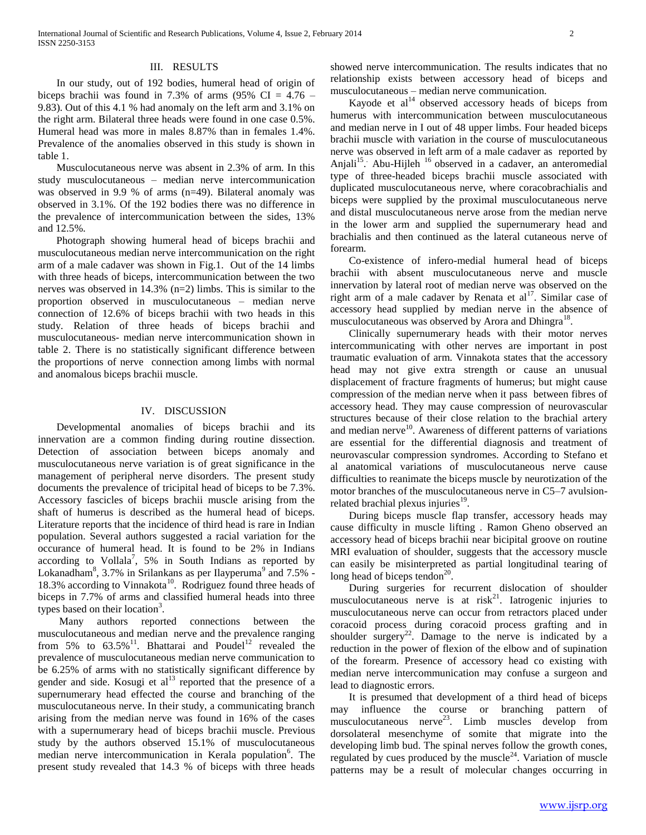## III. RESULTS

 In our study, out of 192 bodies, humeral head of origin of biceps brachii was found in 7.3% of arms  $(95\% \text{ CI} = 4.76 -$ 9.83). Out of this 4.1 % had anomaly on the left arm and 3.1% on the right arm. Bilateral three heads were found in one case 0.5%. Humeral head was more in males 8.87% than in females 1.4%. Prevalence of the anomalies observed in this study is shown in table 1.

 Musculocutaneous nerve was absent in 2.3% of arm. In this study musculocutaneous – median nerve intercommunication was observed in 9.9 % of arms (n=49). Bilateral anomaly was observed in 3.1%. Of the 192 bodies there was no difference in the prevalence of intercommunication between the sides, 13% and 12.5%.

 Photograph showing humeral head of biceps brachii and musculocutaneous median nerve intercommunication on the right arm of a male cadaver was shown in Fig.1. Out of the 14 limbs with three heads of biceps, intercommunication between the two nerves was observed in 14.3% (n=2) limbs. This is similar to the proportion observed in musculocutaneous – median nerve connection of 12.6% of biceps brachii with two heads in this study. Relation of three heads of biceps brachii and musculocutaneous- median nerve intercommunication shown in table 2. There is no statistically significant difference between the proportions of nerve connection among limbs with normal and anomalous biceps brachii muscle.

## IV. DISCUSSION

 Developmental anomalies of biceps brachii and its innervation are a common finding during routine dissection. Detection of association between biceps anomaly and musculocutaneous nerve variation is of great significance in the management of peripheral nerve disorders. The present study documents the prevalence of tricipital head of biceps to be 7.3%. Accessory fascicles of biceps brachii muscle arising from the shaft of humerus is described as the humeral head of biceps. Literature reports that the incidence of third head is rare in Indian population. Several authors suggested a racial variation for the occurance of humeral head. It is found to be 2% in Indians according to Vollala<sup>7</sup>, 5% in South Indians as reported by Lokanadham<sup>8</sup>, 3.7% in Srilankans as per Ilayperuma<sup>9</sup> and 7.5% -18.3% according to Vinnakota<sup>10</sup>. Rodriguez found three heads of biceps in 7.7% of arms and classified humeral heads into three types based on their location<sup>3</sup>.

 Many authors reported connections between the musculocutaneous and median nerve and the prevalence ranging from 5% to  $63.5\%$ <sup>11</sup>. Bhattarai and Poudel<sup>12</sup> revealed the prevalence of musculocutaneous median nerve communication to be 6.25% of arms with no statistically significant difference by gender and side. Kosugi et  $al<sup>13</sup>$  reported that the presence of a supernumerary head effected the course and branching of the musculocutaneous nerve. In their study, a communicating branch arising from the median nerve was found in 16% of the cases with a supernumerary head of biceps brachii muscle. Previous study by the authors observed 15.1% of musculocutaneous median nerve intercommunication in Kerala population<sup>6</sup>. The present study revealed that 14.3 % of biceps with three heads

showed nerve intercommunication. The results indicates that no relationship exists between accessory head of biceps and musculocutaneous – median nerve communication.

Kayode et  $al<sup>14</sup>$  observed accessory heads of biceps from humerus with intercommunication between musculocutaneous and median nerve in I out of 48 upper limbs. Four headed biceps brachii muscle with variation in the course of musculocutaneous nerve was observed in left arm of a male cadaver as reported by Anjali<sup>15</sup>. Abu-Hijleh <sup>16</sup> observed in a cadaver, an anteromedial type of three-headed biceps brachii muscle associated with duplicated musculocutaneous nerve, where coracobrachialis and biceps were supplied by the proximal musculocutaneous nerve and distal musculocutaneous nerve arose from the median nerve in the lower arm and supplied the supernumerary head and brachialis and then continued as the lateral cutaneous nerve of forearm.

 Co-existence of infero-medial humeral head of biceps brachii with absent musculocutaneous nerve and muscle innervation by lateral root of median nerve was observed on the right arm of a male cadaver by Renata et  $al<sup>17</sup>$ . Similar case of accessory head supplied by median nerve in the absence of musculocutaneous was observed by Arora and Dhingra<sup>18</sup>.

 Clinically supernumerary heads with their motor nerves intercommunicating with other nerves are important in post traumatic evaluation of arm. Vinnakota states that the accessory head may not give extra strength or cause an unusual displacement of fracture fragments of humerus; but might cause compression of the median nerve when it pass between fibres of accessory head. They may cause compression of neurovascular structures because of their close relation to the brachial artery and median nerve $10$ . Awareness of different patterns of variations are essential for the differential diagnosis and treatment of neurovascular compression syndromes. According to Stefano et al anatomical variations of musculocutaneous nerve cause difficulties to reanimate the biceps muscle by neurotization of the motor branches of the musculocutaneous nerve in C5–7 avulsionrelated brachial plexus injuries $^{19}$ .

 During biceps muscle flap transfer, accessory heads may cause difficulty in muscle lifting . Ramon Gheno observed an accessory head of biceps brachii near bicipital groove on routine MRI evaluation of shoulder, suggests that the accessory muscle can easily be misinterpreted as partial longitudinal tearing of long head of biceps tendon<sup>20</sup>.

 During surgeries for recurrent dislocation of shoulder musculocutaneous nerve is at risk<sup>21</sup>. Iatrogenic injuries to musculocutaneous nerve can occur from retractors placed under coracoid process during coracoid process grafting and in shoulder surgery<sup>22</sup>. Damage to the nerve is indicated by a reduction in the power of flexion of the elbow and of supination of the forearm. Presence of accessory head co existing with median nerve intercommunication may confuse a surgeon and lead to diagnostic errors.

 It is presumed that development of a third head of biceps may influence the course or branching pattern of musculocutaneous nerve<sup>23</sup>. Limb muscles develop from dorsolateral mesenchyme of somite that migrate into the developing limb bud. The spinal nerves follow the growth cones, regulated by cues produced by the muscle<sup>24</sup>. Variation of muscle patterns may be a result of molecular changes occurring in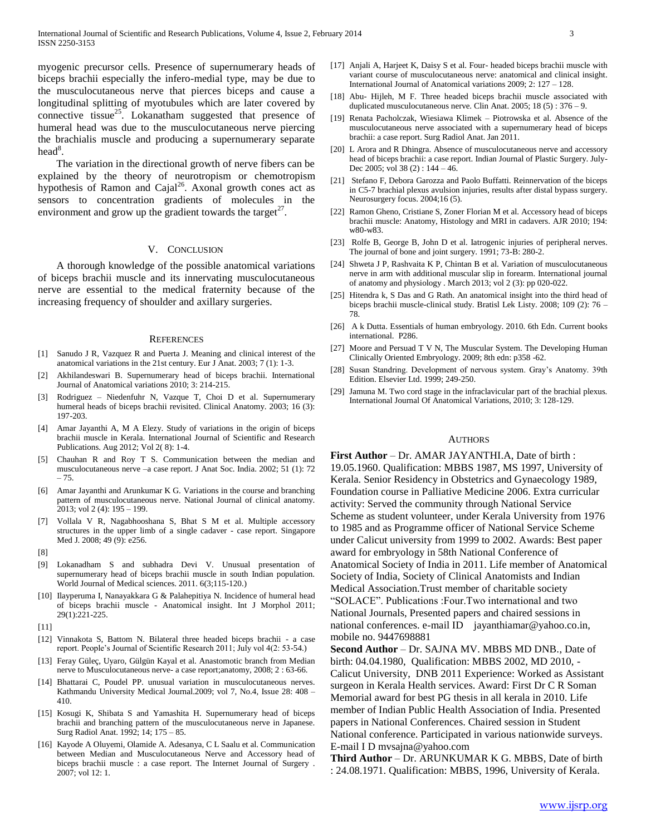myogenic precursor cells. Presence of supernumerary heads of biceps brachii especially the infero-medial type, may be due to the musculocutaneous nerve that pierces biceps and cause a longitudinal splitting of myotubules which are later covered by connective tissue $^{25}$ . Lokanatham suggested that presence of humeral head was due to the musculocutaneous nerve piercing the brachialis muscle and producing a supernumerary separate  $head^8$ .

 The variation in the directional growth of nerve fibers can be explained by the theory of neurotropism or chemotropism hypothesis of Ramon and Cajal<sup>26</sup>. Axonal growth cones act as sensors to concentration gradients of molecules in the environment and grow up the gradient towards the target $^{27}$ .

#### V. CONCLUSION

 A thorough knowledge of the possible anatomical variations of biceps brachii muscle and its innervating musculocutaneous nerve are essential to the medical fraternity because of the increasing frequency of shoulder and axillary surgeries.

#### **REFERENCES**

- [1] Sanudo J R, Vazquez R and Puerta J. Meaning and clinical interest of the anatomical variations in the 21st century. Eur J Anat. 2003; 7 (1): 1-3.
- [2] Akhilandeswari B. Supernumerary head of biceps brachii. International Journal of Anatomical variations 2010; 3: 214-215.
- Rodriguez Niedenfuhr N, Vazque T, Choi D et al. Supernumerary humeral heads of biceps brachii revisited. Clinical Anatomy. 2003; 16 (3): 197-203.
- [4] Amar Jayanthi A, M A Elezy. Study of variations in the origin of biceps brachii muscle in Kerala. International Journal of Scientific and Research Publications. Aug 2012; Vol 2( 8): 1-4.
- [5] Chauhan R and Roy T S. Communication between the median and musculocutaneous nerve –a case report. J Anat Soc. India. 2002; 51 (1): 72 – 75.
- [6] Amar Jayanthi and Arunkumar K G. Variations in the course and branching pattern of musculocutaneous nerve. National Journal of clinical anatomy. 2013; vol 2 (4): 195 – 199.
- [7] Vollala V R, Nagabhooshana S, Bhat S M et al. Multiple accessory structures in the upper limb of a single cadaver - case report. Singapore Med J. 2008; 49 (9): e256.
- [8]
- [9] Lokanadham S and subhadra Devi V. Unusual presentation of supernumerary head of biceps brachii muscle in south Indian population. World Journal of Medical sciences. 2011. 6(3;115-120.)
- [10] Ilayperuma I, Nanayakkara G & Palahepitiya N. Incidence of humeral head of biceps brachii muscle - Anatomical insight. Int J Morphol 2011; 29(1):221-225.
- [11]
- [12] Vinnakota S, Battom N. Bilateral three headed biceps brachii a case report. People's Journal of Scientific Research 2011; July vol 4(2: 53-54.)
- [13] Feray Güleç, Uyaro, Gülgün Kayal et al. Anastomotic branch from Median nerve to Musculocutaneous nerve- a case report;anatomy, 2008; 2 : 63-66.
- [14] Bhattarai C, Poudel PP. unusual variation in musculocutaneous nerves. Kathmandu University Medical Journal.2009; vol 7, No.4, Issue 28: 408 – 410.
- [15] Kosugi K, Shibata S and Yamashita H. Supernumerary head of biceps brachii and branching pattern of the musculocutaneous nerve in Japanese. Surg Radiol Anat. 1992; 14; 175 – 85.
- [16] Kayode A Oluyemi, Olamide A. Adesanya, C L Saalu et al. Communication between Median and Musculocutaneous Nerve and Accessory head of biceps brachii muscle : a case report. The Internet Journal of Surgery . 2007; vol 12: 1.
- [17] Anjali A, Harjeet K, Daisy S et al. Four- headed biceps brachii muscle with variant course of musculocutaneous nerve: anatomical and clinical insight. International Journal of Anatomical variations 2009; 2: 127 – 128.
- [18] Abu- Hijleh, M F. Three headed biceps brachii muscle associated with duplicated musculocutaneous nerve. Clin Anat. 2005; 18 (5) : 376 – 9.
- [19] Renata Pacholczak, Wiesiawa Klimek Piotrowska et al. Absence of the musculocutaneous nerve associated with a supernumerary head of biceps brachii: a case report. Surg Radiol Anat. Jan 2011.
- [20] L Arora and R Dhingra. Absence of musculocutaneous nerve and accessory head of biceps brachii: a case report. Indian Journal of Plastic Surgery. July-Dec 2005; vol 38 (2) : 144 – 46.
- [21] Stefano F, Debora Garozza and Paolo Buffatti. Reinnervation of the biceps in C5-7 brachial plexus avulsion injuries, results after distal bypass surgery. Neurosurgery focus. 2004;16 (5).
- [22] Ramon Gheno, Cristiane S, Zoner Florian M et al. Accessory head of biceps brachii muscle: Anatomy, Histology and MRI in cadavers. AJR 2010; 194: w80-w83.
- [23] Rolfe B, George B, John D et al. Iatrogenic injuries of peripheral nerves. The journal of bone and joint surgery. 1991; 73-B: 280-2.
- [24] Shweta J P, Rashvaita K P, Chintan B et al. Variation of musculocutaneous nerve in arm with additional muscular slip in forearm. International journal of anatomy and physiology . March 2013; vol 2 (3): pp 020-022.
- [25] Hitendra k, S Das and G Rath. An anatomical insight into the third head of biceps brachii muscle-clinical study. Bratisl Lek Listy. 2008; 109 (2): 76 – 78.
- [26] A k Dutta. Essentials of human embryology. 2010. 6th Edn. Current books international. P286.
- [27] Moore and Persuad T V N, The Muscular System. The Developing Human Clinically Oriented Embryology. 2009; 8th edn: p358 -62.
- [28] Susan Standring. Development of nervous system. Gray's Anatomy. 39th Edition. Elsevier Ltd. 1999; 249-250.
- [29] Jamuna M. Two cord stage in the infraclavicular part of the brachial plexus. International Journal Of Anatomical Variations, 2010; 3: 128-129.

#### AUTHORS

**First Author** – Dr. AMAR JAYANTHI.A, Date of birth : 19.05.1960. Qualification: MBBS 1987, MS 1997, University of Kerala. Senior Residency in Obstetrics and Gynaecology 1989, Foundation course in Palliative Medicine 2006. Extra curricular activity: Served the community through National Service Scheme as student volunteer, under Kerala University from 1976 to 1985 and as Programme officer of National Service Scheme under Calicut university from 1999 to 2002. Awards: Best paper award for embryology in 58th National Conference of Anatomical Society of India in 2011. Life member of Anatomical Society of India, Society of Clinical Anatomists and Indian Medical Association.Trust member of charitable society "SOLACE". Publications :Four.Two international and two National Journals, Presented papers and chaired sessions in national conferences. e-mail ID jayanthiamar@yahoo.co.in, mobile no. 9447698881

**Second Author** – Dr. SAJNA MV. MBBS MD DNB., Date of birth: 04.04.1980, Qualification: MBBS 2002, MD 2010, - Calicut University, DNB 2011 Experience: Worked as Assistant surgeon in Kerala Health services. Award: First Dr C R Soman Memorial award for best PG thesis in all kerala in 2010. Life member of Indian Public Health Association of India. Presented papers in National Conferences. Chaired session in Student National conference. Participated in various nationwide surveys. E-mail I D mvsajna@yahoo.com

**Third Author** – Dr. ARUNKUMAR K G. MBBS, Date of birth : 24.08.1971. Qualification: MBBS, 1996, University of Kerala.